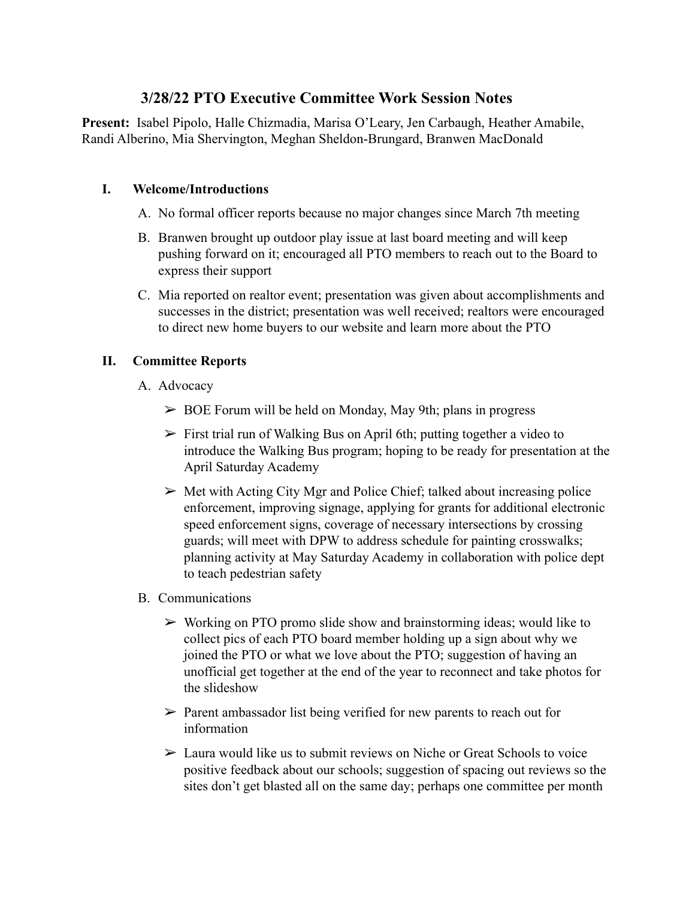# **3/28/22 PTO Executive Committee Work Session Notes**

**Present:** Isabel Pipolo, Halle Chizmadia, Marisa O'Leary, Jen Carbaugh, Heather Amabile, Randi Alberino, Mia Shervington, Meghan Sheldon-Brungard, Branwen MacDonald

### **I. Welcome/Introductions**

- A. No formal officer reports because no major changes since March 7th meeting
- B. Branwen brought up outdoor play issue at last board meeting and will keep pushing forward on it; encouraged all PTO members to reach out to the Board to express their support
- C. Mia reported on realtor event; presentation was given about accomplishments and successes in the district; presentation was well received; realtors were encouraged to direct new home buyers to our website and learn more about the PTO

## **II. Committee Reports**

- A. Advocacy
	- $\geq$  BOE Forum will be held on Monday, May 9th; plans in progress
	- $\triangleright$  First trial run of Walking Bus on April 6th; putting together a video to introduce the Walking Bus program; hoping to be ready for presentation at the April Saturday Academy
	- $\triangleright$  Met with Acting City Mgr and Police Chief; talked about increasing police enforcement, improving signage, applying for grants for additional electronic speed enforcement signs, coverage of necessary intersections by crossing guards; will meet with DPW to address schedule for painting crosswalks; planning activity at May Saturday Academy in collaboration with police dept to teach pedestrian safety
- B. Communications
	- $\triangleright$  Working on PTO promo slide show and brainstorming ideas; would like to collect pics of each PTO board member holding up a sign about why we joined the PTO or what we love about the PTO; suggestion of having an unofficial get together at the end of the year to reconnect and take photos for the slideshow
	- $\triangleright$  Parent ambassador list being verified for new parents to reach out for information
	- $\triangleright$  Laura would like us to submit reviews on Niche or Great Schools to voice positive feedback about our schools; suggestion of spacing out reviews so the sites don't get blasted all on the same day; perhaps one committee per month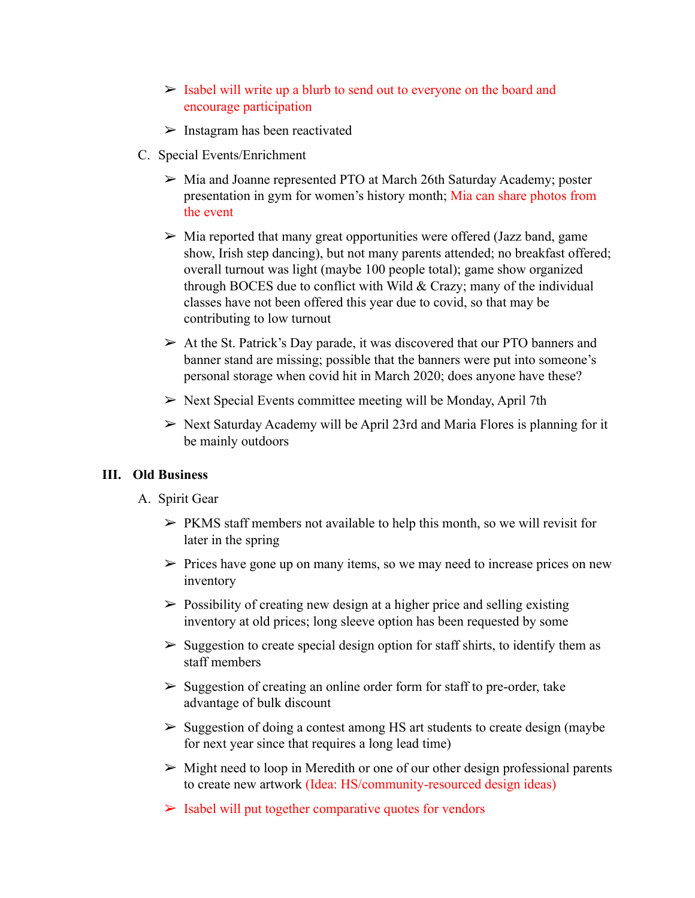- $>$  Isabel will write up a blurb to send out to everyone on the board and encourage participation
- $\triangleright$  Instagram has been reactivated
- C. Special Events/Enrichment
	- ➢ Mia and Joanne represented PTO at March 26th Saturday Academy; poster presentation in gym for women's history month; Mia can share photos from the event
	- $\triangleright$  Mia reported that many great opportunities were offered (Jazz band, game show, Irish step dancing), but not many parents attended; no breakfast offered; overall turnout was light (maybe 100 people total); game show organized through BOCES due to conflict with Wild & Crazy; many of the individual classes have not been offered this year due to covid, so that may be contributing to low turnout
	- $\triangleright$  At the St. Patrick's Day parade, it was discovered that our PTO banners and banner stand are missing; possible that the banners were put into someone's personal storage when covid hit in March 2020; does anyone have these?
	- $\triangleright$  Next Special Events committee meeting will be Monday, April 7th
	- $\triangleright$  Next Saturday Academy will be April 23rd and Maria Flores is planning for it be mainly outdoors

#### **III. Old Business**

- A. Spirit Gear
	- $\triangleright$  PKMS staff members not available to help this month, so we will revisit for later in the spring
	- $\triangleright$  Prices have gone up on many items, so we may need to increase prices on new inventory
	- $\triangleright$  Possibility of creating new design at a higher price and selling existing inventory at old prices; long sleeve option has been requested by some
	- $\triangleright$  Suggestion to create special design option for staff shirts, to identify them as staff members
	- $\triangleright$  Suggestion of creating an online order form for staff to pre-order, take advantage of bulk discount
	- $\triangleright$  Suggestion of doing a contest among HS art students to create design (maybe for next year since that requires a long lead time)
	- $\triangleright$  Might need to loop in Meredith or one of our other design professional parents to create new artwork (Idea: HS/community-resourced design ideas)
	- $\triangleright$  Isabel will put together comparative quotes for vendors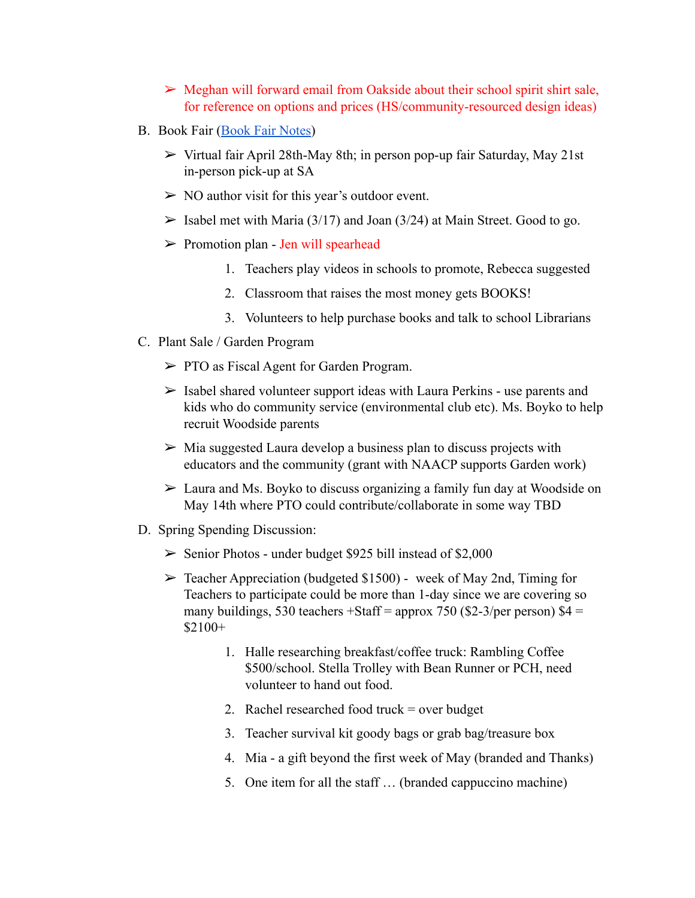- $\triangleright$  Meghan will forward email from Oakside about their school spirit shirt sale, for reference on options and prices (HS/community-resourced design ideas)
- B. Book Fair ([Book Fair Notes](https://docs.google.com/document/d/1uUvZsvdZk9ow1rQy4QCIq3US2jpvx8J8thoTPbBV84w/edit?usp=sharing))
	- ➢ Virtual fair April 28th-May 8th; in person pop-up fair Saturday, May 21st in-person pick-up at SA
	- $\triangleright$  NO author visit for this year's outdoor event.
	- $\triangleright$  Isabel met with Maria (3/17) and Joan (3/24) at Main Street. Good to go.
	- $\triangleright$  Promotion plan Jen will spearhead
		- 1. Teachers play videos in schools to promote, Rebecca suggested
		- 2. Classroom that raises the most money gets BOOKS!
		- 3. Volunteers to help purchase books and talk to school Librarians
- C. Plant Sale / Garden Program
	- ➢ PTO as Fiscal Agent for Garden Program.
	- $\triangleright$  Isabel shared volunteer support ideas with Laura Perkins use parents and kids who do community service (environmental club etc). Ms. Boyko to help recruit Woodside parents
	- $\triangleright$  Mia suggested Laura develop a business plan to discuss projects with educators and the community (grant with NAACP supports Garden work)
	- ➢ Laura and Ms. Boyko to discuss organizing a family fun day at Woodside on May 14th where PTO could contribute/collaborate in some way TBD
- D. Spring Spending Discussion:
	- $\geq$  Senior Photos under budget \$925 bill instead of \$2,000
	- $\triangleright$  Teacher Appreciation (budgeted \$1500) week of May 2nd, Timing for Teachers to participate could be more than 1-day since we are covering so many buildings, 530 teachers +Staff = approx 750 (\$2-3/per person)  $$4 =$ \$2100+
		- 1. Halle researching breakfast/coffee truck: Rambling Coffee \$500/school. Stella Trolley with Bean Runner or PCH, need volunteer to hand out food.
		- 2. Rachel researched food truck = over budget
		- 3. Teacher survival kit goody bags or grab bag/treasure box
		- 4. Mia a gift beyond the first week of May (branded and Thanks)
		- 5. One item for all the staff … (branded cappuccino machine)